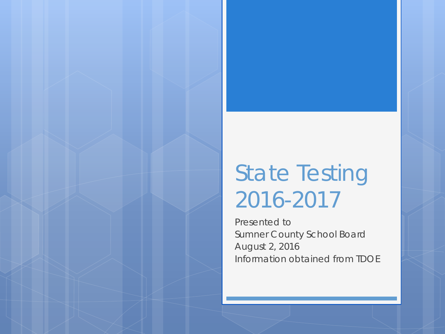# State Testing 2016-2017

Presented to Sumner County School Board August 2, 2016 Information obtained from TDOE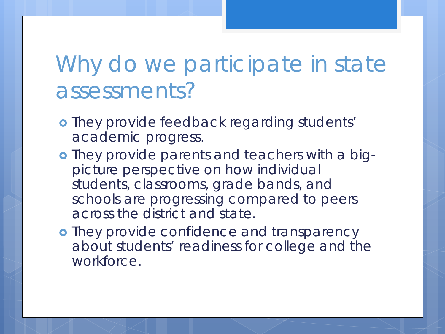## Why do we participate in state assessments?

- **o** They provide feedback regarding students' academic progress.
- o They provide parents and teachers with a bigpicture perspective on how individual students, classrooms, grade bands, and schools are progressing compared to peers across the district and state.
- **•** They provide confidence and transparency about students' readiness for college and the workforce.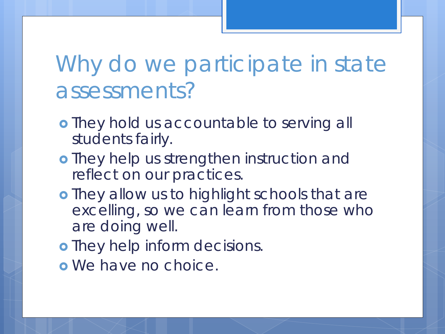## Why do we participate in state assessments?

- **o** They hold us accountable to serving all students fairly.
- o They help us strengthen instruction and reflect on our practices.
- o They allow us to highlight schools that are excelling, so we can learn from those who are doing well.
- o They help inform decisions.
- o We have no choice.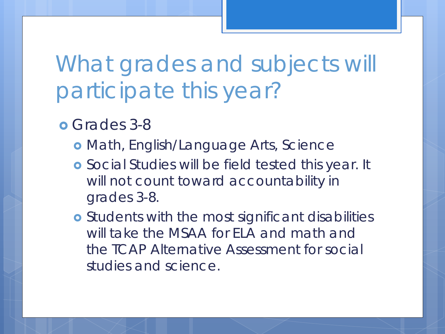What grades and subjects will participate this year?

**o** Grades 3-8

- Math, English/Language Arts, Science
- **o** Social Studies will be field tested this year. It will not count toward accountability in grades 3-8.
- **o** Students with the most significant disabilities will take the MSAA for FLA and math and the TCAP Alternative Assessment for social studies and science.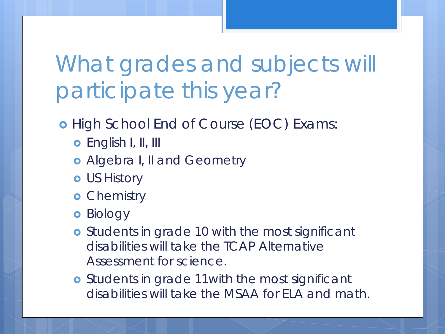What grades and subjects will participate this year?

#### **o** High School End of Course (EOC) Exams:

- **o** English I, II, III
- Algebra I, II and Geometry
- **o** US History
- **o** Chemistry
- **o** Biology
- **o** Students in grade 10 with the most significant disabilities will take the TCAP Alternative Assessment for science.
- **o** Students in grade 11 with the most significant disabilities will take the MSAA for ELA and math.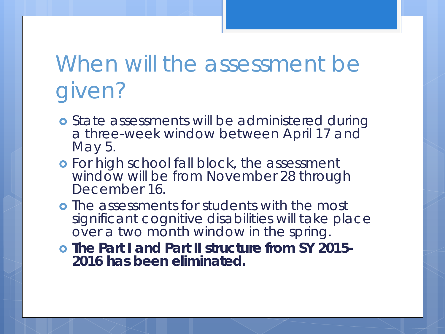# When will the assessment be given?

- **o** State assessments will be administered during a three-week window between April 17 and May 5.
- **o** For high school fall block, the assessment window will be from November 28 through December 16.
- **•** The assessments for students with the most significant cognitive disabilities will take place over a two month window in the spring.
- **The Part I and Part II structure from SY 2015- 2016 has been eliminated.**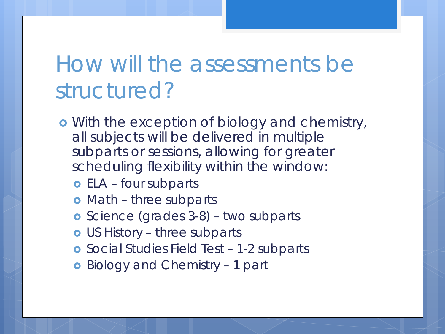## How will the assessments be structured?

- **•** With the exception of biology and chemistry, all subjects will be delivered in multiple subparts or sessions, allowing for greater scheduling flexibility within the window:
	- **o** ELA four subparts
	- o Math three subparts
	- **o** Science (grades 3-8) two subparts
	- US History three subparts
	- Social Studies Field Test 1-2 subparts
	- **o** Biology and Chemistry 1 part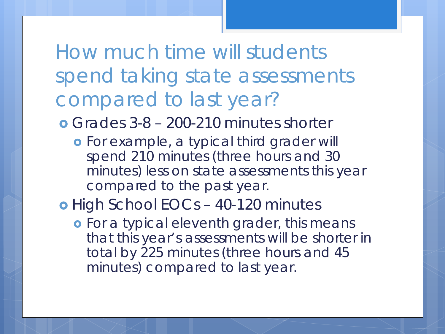#### How much time will students spend taking state assessments compared to last year?

Grades 3-8 – 200-210 minutes shorter

- For example, a typical third grader will spend 210 minutes (three hours and 30 minutes) less on state assessments this year compared to the past year.
- o High School EOCs 40-120 minutes
	- **o** For a typical eleventh grader, this means that this year's assessments will be shorter in total by 225 minutes (three hours and 45 minutes) compared to last year.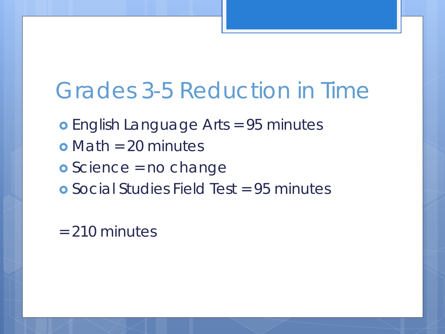#### Grades 3-5 Reduction in Time

- English Language Arts = 95 minutes
- $\bullet$  Math = 20 minutes
- **o** Science = no change
- Social Studies Field Test = 95 minutes

#### = 210 minutes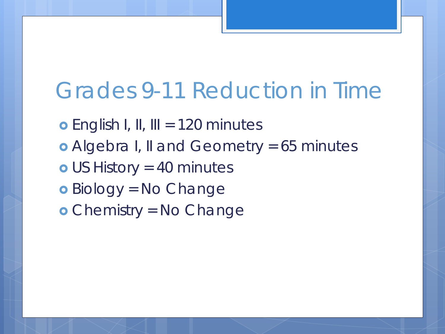#### Grades 9-11 Reduction in Time

**o** English I, II, III = 120 minutes Algebra I, II and Geometry = 65 minutes US History = 40 minutes Biology = No Change Chemistry = No Change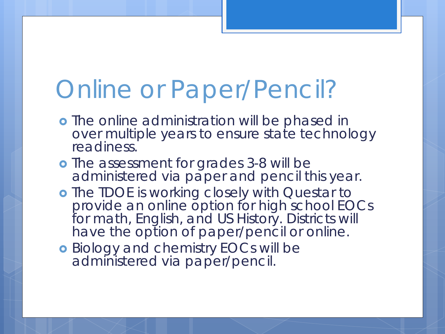# Online or Paper/Pencil?

- **o** The online administration will be phased in over multiple years to ensure state technology readiness.
- **o** The assessment for grades 3-8 will be administered via paper and pencil this year.
- o The TDOE is working closely with Questar to provide an online option for high school EOCs for math, English, and US History. Districts will have the option of paper/pencil or online.
- **o** Biology and chemistry EOCs will be administered via paper/pencil.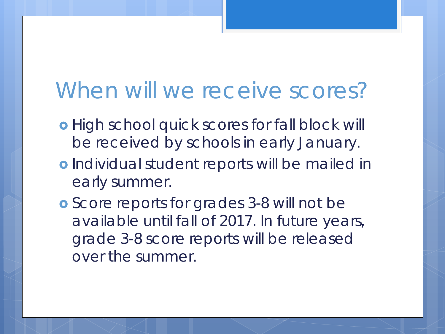#### When will we receive scores?

- **o** High school quick scores for fall block will be received by schools in early January.
- o Individual student reports will be mailed in early summer.
- Score reports for grades 3-8 will not be available until fall of 2017. In future years, grade 3-8 score reports will be released over the summer.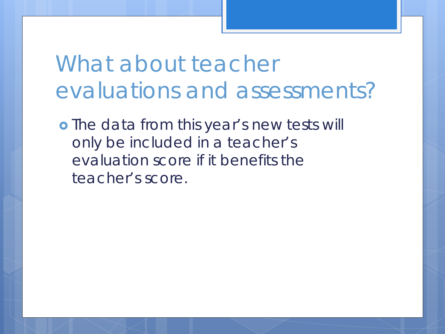What about teacher evaluations and assessments?

**•** The data from this year's new tests will only be included in a teacher's evaluation score if it benefits the teacher's score.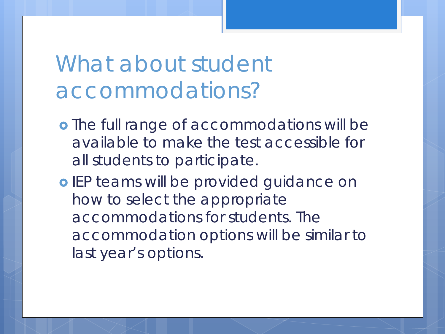## What about student accommodations?

- **o** The full range of accommodations will be available to make the test accessible for all students to participate.
- o IEP teams will be provided guidance on how to select the appropriate accommodations for students. The accommodation options will be similar to last year's options.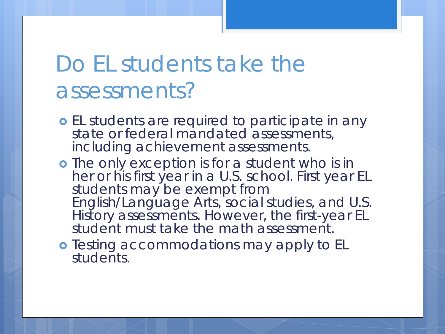#### Do EL students take the assessments?

- **o** EL students are required to participate in any state or federal mandated assessments, including achievement assessments.
- o The only exception is for a student who is in her or his first year in a U.S. school. First year EL students may be exempt from English/Language Arts, social studies, and U.S. History assessments. However, the first-year EL student must take the math assessment.
- **o** Testing accommodations may apply to EL students.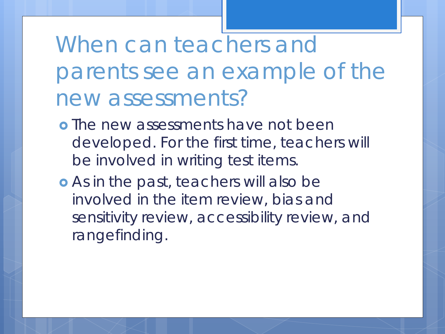When can teachers and parents see an example of the new assessments?

- **o** The new assessments have not been developed. For the first time, teachers will be involved in writing test items.
- As in the past, teachers will also be involved in the item review, bias and sensitivity review, accessibility review, and rangefinding.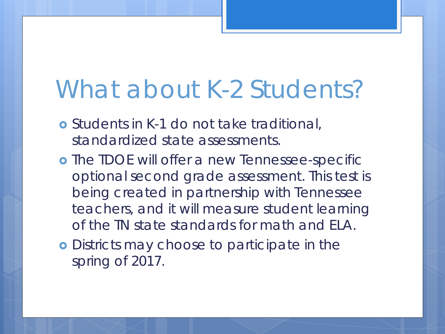# What about K-2 Students?

- Students in K-1 do not take traditional, standardized state assessments.
- **o** The TDOE will offer a new Tennessee-specific optional second grade assessment. This test is being created in partnership with Tennessee teachers, and it will measure student learning of the TN state standards for math and ELA.
- **o** Districts may choose to participate in the spring of 2017.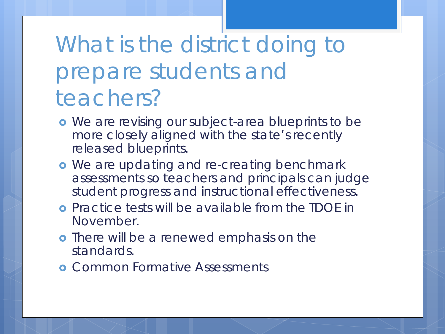# What is the district doing to prepare students and teachers?

- **•** We are revising our subject-area blueprints to be more closely aligned with the state's recently released blueprints.
- **•** We are updating and re-creating benchmark assessments so teachers and principals can judge student progress and instructional effectiveness.
- Practice tests will be available from the TDOE in November.
- **o** There will be a renewed emphasis on the standards.
- **o** Common Formative Assessments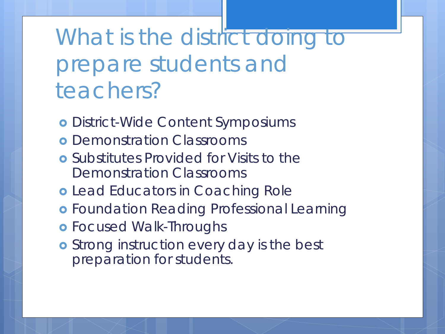What is the district doing to prepare students and teachers?

- District-Wide Content Symposiums
- **o** Demonstration Classrooms
- Substitutes Provided for Visits to the Demonstration Classrooms
- **o** Lead Educators in Coaching Role
- **o** Foundation Reading Professional Learning
- **o** Focused Walk-Throughs
- **o** Strong instruction every day is the best preparation for students.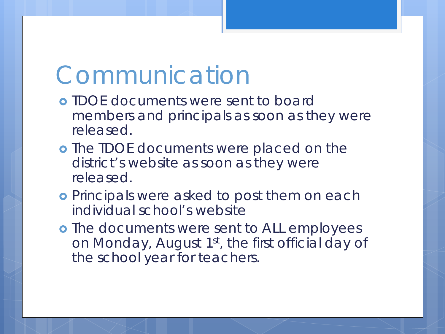## Communication

- TDOE documents were sent to board members and principals as soon as they were released.
- **•** The TDOE documents were placed on the district's website as soon as they were released.
- **o** Principals were asked to post them on each individual school's website
- **o** The documents were sent to ALL employees on Monday, August 1<sup>st</sup>, the first official day of the school year for teachers.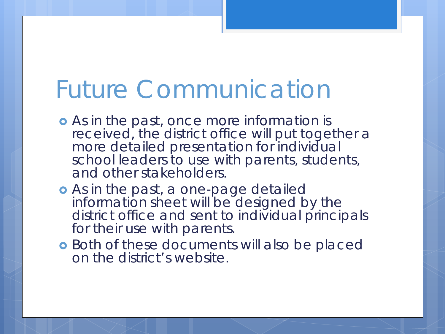# Future Communication

- As in the past, once more information is received, the district office will put together a more detailed presentation for individual school leaders to use with parents, students, and other stakeholders.
- As in the past, a one-page detailed information sheet will be designed by the district office and sent to individual principals for their use with parents.
- **o** Both of these documents will also be placed on the district's website.